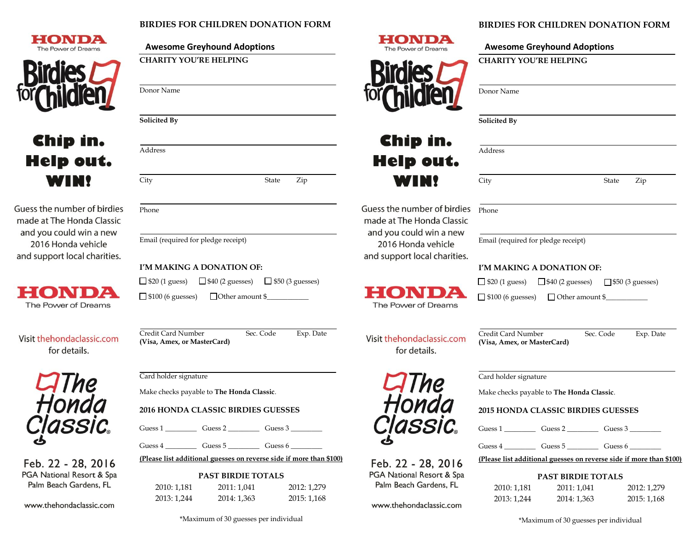## **BIRDIES FOR CHILDREN DONATION FORM**





# Chip in. **Help out. WIN!**

Guess the number of birdies made at The Honda Classic and you could win a new 2016 Honda vehicle and support local charities.



Visit thehondaclassic.com for details.



Feb. 22 - 28, 2016 PGA National Resort & Spa Palm Beach Gardens, FL

www.thehondaclassic.com



#### **BIRDIES FOR CHILDREN DONATION FORM**

**CHARITY YOU'RE HELPING**

|                                                                            | Donor Name                                                                                                               |
|----------------------------------------------------------------------------|--------------------------------------------------------------------------------------------------------------------------|
|                                                                            | Solicited By                                                                                                             |
| Chip in.<br>Help out.                                                      | Address                                                                                                                  |
| <b>WIN!</b>                                                                | City<br>State<br>Zip                                                                                                     |
| ess the number of birdies<br>ade at The Honda Classic                      | Phone                                                                                                                    |
| nd you could win a new<br>2016 Honda vehicle<br>d support local charities. | Email (required for pledge receipt)                                                                                      |
|                                                                            | I'M MAKING A DONATION OF:                                                                                                |
| 2 C<br>ON<br>The Power of Dreams                                           | $\Box$ \$20 (1 guess) $\Box$ \$40 (2 guesses) $\Box$ \$50 (3 guesses)<br>$\Box$ \$100 (6 guesses) $\Box$ Other amount \$ |
| sit thehondaclassic.com<br>for details.                                    | Sec. Code<br>Credit Card Number<br>Exp. Date<br>(Visa, Amex, or MasterCard)                                              |
| <b>CIThe<br/>Honda</b>                                                     | Card holder signature                                                                                                    |
|                                                                            | Make checks payable to The Honda Classic.                                                                                |
|                                                                            | <b>2015 HONDA CLASSIC BIRDIES GUESSES</b>                                                                                |
| Classic.                                                                   |                                                                                                                          |
|                                                                            | $Guess 4$ Guess 5 Guess 6                                                                                                |
| <sup>-</sup> eb. 22 - 28, 2016                                             | (Please list additional guesses on reverse side if more than \$100)                                                      |
| GA National Resort & Spa<br>Palm Beach Gardens, FL                         | <b>PAST BIRDIE TOTALS</b><br>2010.1101<br>2011.1011<br>2012.1270                                                         |

2010: 1,181 2011: 1,041 2012: 1,279 2013: 1,244 2014: 1,363 2015: 1,168

\*Maximum of 30 guesses per individual

\*Maximum of 30 guesses per individual